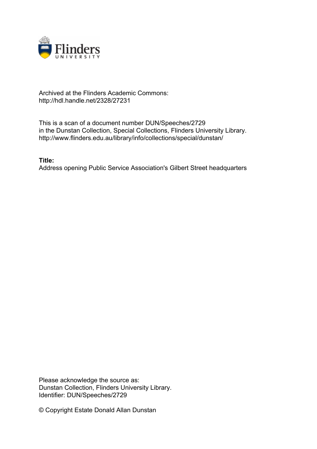

## Archived at the Flinders Academic Commons: http://hdl.handle.net/2328/27231

This is a scan of a document number DUN/Speeches/2729 in the Dunstan Collection, Special Collections, Flinders University Library. http://www.flinders.edu.au/library/info/collections/special/dunstan/

**Title:**

Address opening Public Service Association's Gilbert Street headquarters

Please acknowledge the source as: Dunstan Collection, Flinders University Library. Identifier: DUN/Speeches/2729

© Copyright Estate Donald Allan Dunstan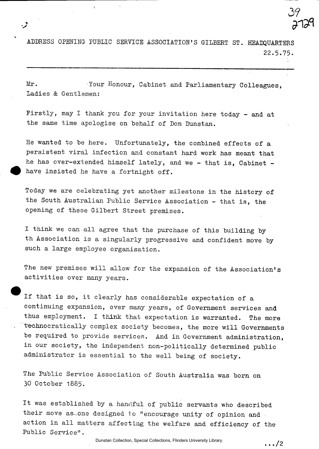ADDRESS OPENING- PUBLIC SERVICE ASSOCIATION'S GILBERT ST. HEADQUARTERS 22.5.75.

Mr. Your Honour, Cabinet and Parliamentary Colleagues, Ladies & Gentlemen:

Firstly, may I thank you for your invitation here today - and at the same time apologise on behalf of Don Dunstan.

He wanted to be here. Unfortunately, the combined effects of a persistent viral infection and constant hard work has meant that he has over-extended himself lately, and we - that is, Cabinet have insisted he have a fortnight off.

Today we are celebrating yet another milestone in the history of the South Australian Public Service Association - that is, the opening of these Gilbert Street premises.

I think we can all agree that the purchase of this building by th Association is a singularly progressive and confident move by such a large employee organisation.

The new premises will allow for the expansion of the Association's activities over many years.

If that is so, it clearly has considerable expectation of a continuing expansion, over many years, of Government services and thus employment. I think that expectation is warranted. The more technocratically complex society becomes, the more will Governments be required to provide services. And in Government administration, in our society, the independent non-politically determined public administrator is essential to the well being of society.

The Public Service Association of South Australia was born on 30 October 1885.

It was established by a handful of public servants who described their move as-one designed to "encourage unity of opinion and action in all matters affecting the welfare and efficiency of the Public Service".

. .. /2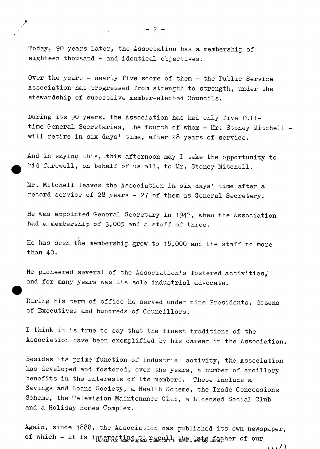Today, 90 years later, the Association has a membership of eighteen thousand - and identical objectives.

Over the years - nearly five score of them - the Public Service Association has progressed from strength to strength, under the stewardship of successive member-elected Councils.

During its 90 years, the Association has had only five fulltime General Secretaries, the fourth of whom - Mr. Stoney Mitchell will retire in six days' time, after 28 years of service.

And in saying this, this afternoon may I take the opportunity to bid farewell, on behalf of us all, to Mr. Stoney Mitchell.

Mr. Mitchell leaves the Association in six days' time after a record service of 28 years - 27 of them as General Secretary.

He was appointed General Secretary in 1947, when the Association had a membership of 3,005 and a staff of three.

He has seen the membership grow to  $18,000$  and the staff to more than 40.

He pioneered several of the Association's fostered activities, and for many years was its sole industrial advocate.

During his term of office he served under nine Presidents, dozens of Executives and hundreds of Councillors.

I think it is true to say that the finest traditions of the Association have been exemplified by his career in the Association.

Besides its prime function of industrial activity, the Association has developed and fostered, over the years, a number of ancillary benefits in the interests of its members. These include a Savings and Loans Society, a Health Scheme, the Trade Concessions Scheme, the Television Maintenance Club, a Licensed Social Club and a Holiday Homes Complex.

Again, since 1888, the Association has published its own newspaper, of which – it is interesting to recall the ulate university of our

 $\ldots/3$ 

 $-2-$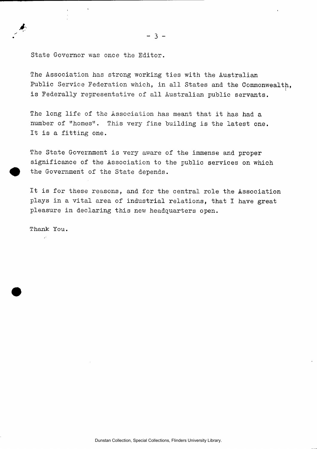State Governor was once the Editor.

The Association has strong working ties with the Australian Public Service Federation which, in all States and the Commonwealth, is Federally representative of all Australian public servants.

The long life of the Association has meant that it has had a number of "homes". This very fine building is the latest one. It is a fitting one.

The State Government is very aware of the immense and proper significance of the Association to the public services on which the Government of the State depends.

It is for these reasons, and for the central role the Association plays in a vital area of industrial relations, that I have great pleasure in declaring this new headquarters open.

**Thank You.**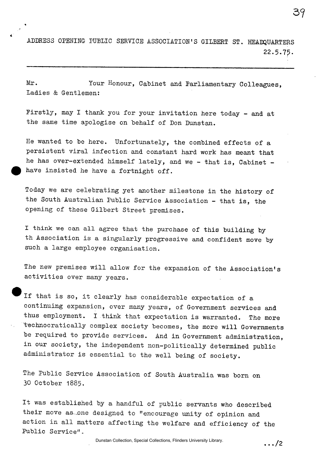ADDRESS OPENING PUBLIC SERVICE ASSOCIATION'S GILBERT ST. HEADQUARTERS 22.5.75.

Mr. Your Honour, Cabinet and Parliamentary Colleagues, Ladies & Gentlemen:

Firstly, may I thank you for your invitation here today - and at the same time apologise on behalf of Don Dunstan.

He wanted to be here. Unfortunately, the combined effects of a persistent viral infection and constant hard work has meant that he has over-extended himself lately, and we - that is, Cabinet have insisted he have a fortnight off.

Today we are celebrating yet another milestone in the history of the South Australian Public Service Association - that is, the opening of these Gilbert Street premises.

I think we can all agree that the purchase of this building by th Association is a singularly progressive and confident move by such a large employee organisation.

The new premises will allow for the expansion of the Association's activities over many years.

If that is so, it clearly has considerable expectation of a continuing expansion, over many years, of Government services and thus employment. I think that expectation is warranted. The more technocratically complex society becomes, the more will Governments be required to provide services. And in Government administration, in our society, the independent non-politically determined public administrator is essential to the well being of society.

The Public Service Association of South Australia was born on 30 October 1885.

It was established by a handful of public servants who described their move as one designed to "encourage unity of opinion and action in all matters affecting the welfare and efficiency of the Public Service".

. . . /2

3?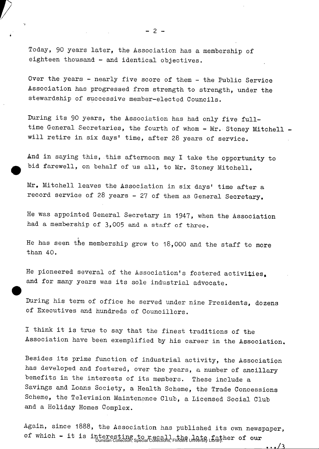Today, 90 years later, the Association has a membership of eighteen thousand - and identical objectives.

Over the years - nearly five score of them - the Public Service Association has progressed from strength to strength, under the stewardship of successive member-elected Councils.

During its 90 years, the Association has had only five fulltime General Secretaries, the fourth of whom - Mr. Stoney Mitchell will retire in six days' time, after 28 years of service.

And in saying this, this afternoon may I take the opportunity to bid farewell, on behalf of us all, to Mr. Stoney Mitchell.

Mr. Mitchell leaves the Association in six days' time after a record service of 28 years - 27 of them as General Secretary.

He was appointed General Secretary in 1947, when the Association had a membership of 3,005 and a staff of three.

He has seen the membership grow to 18,000 and the staff to more than 40.

He pioneered several of the Association's fostered activities, and for many years was its sole industrial advocate.

During his term of office he served under nine Presidents, dozens of Executives and hundreds of Councillors.

I think it is true to say that the finest traditions of the Association have been exemplified by his career in the Association.

Besides its prime function of industrial activity, the Association has developed and fostered, over the years, a number of ancillary benefits in the interests of its members. These include a Savings and Loans Society, a Health Scheme, the Trade Concessions Scheme, the Television Maintenance Club, a Licensed Social Club and a Holiday Homes Complex.

Again, since 1888, the Association has published its own newspaper, of which – it is interesting to recall the late father of our<br>Dunstan Collection, Special Collections, Flinders University Library.

 $\cdots/3$ 

 $-2-$